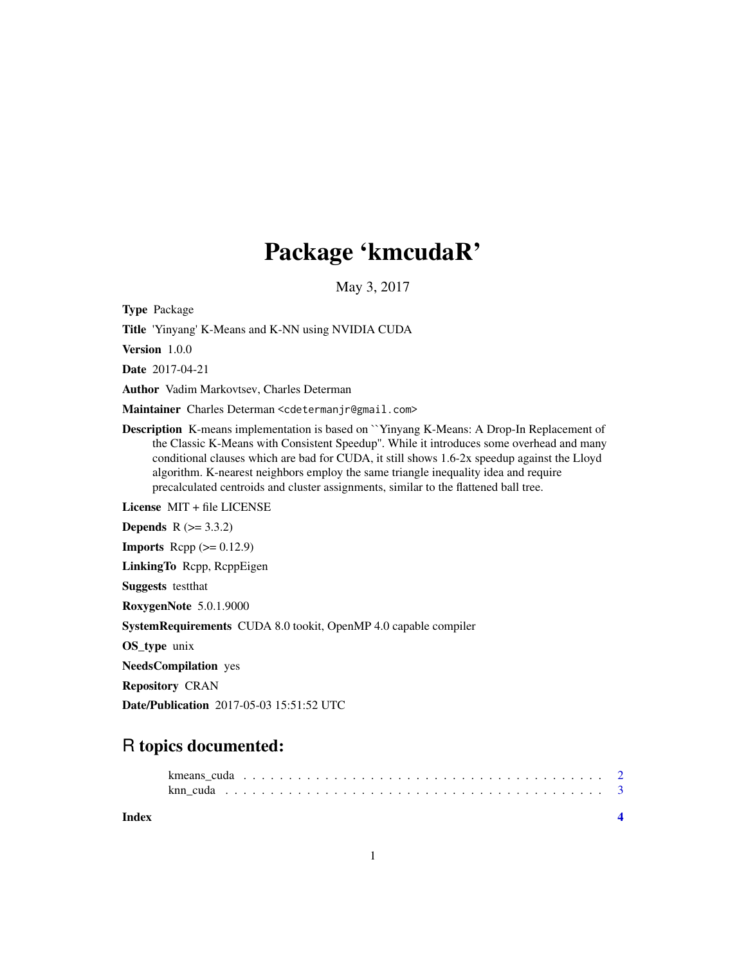## Package 'kmcudaR'

May 3, 2017

Type Package

Title 'Yinyang' K-Means and K-NN using NVIDIA CUDA

Version 1.0.0

Date 2017-04-21

Author Vadim Markovtsev, Charles Determan

Maintainer Charles Determan <cdetermanjr@gmail.com>

Description K-means implementation is based on ``Yinyang K-Means: A Drop-In Replacement of the Classic K-Means with Consistent Speedup''. While it introduces some overhead and many conditional clauses which are bad for CUDA, it still shows 1.6-2x speedup against the Lloyd algorithm. K-nearest neighbors employ the same triangle inequality idea and require precalculated centroids and cluster assignments, similar to the flattened ball tree.

License MIT + file LICENSE

**Depends**  $R (= 3.3.2)$ 

**Imports** Rcpp  $(>= 0.12.9)$ 

LinkingTo Rcpp, RcppEigen

Suggests testthat

RoxygenNote 5.0.1.9000

SystemRequirements CUDA 8.0 tookit, OpenMP 4.0 capable compiler

OS\_type unix

NeedsCompilation yes

Repository CRAN

Date/Publication 2017-05-03 15:51:52 UTC

### R topics documented:

|  |  |  |  |  | kmeans cuda reconservative contract to the contract of the contract of the contract of the contract of the contract of the contract of the contract of the contract of the contract of the contract of the contract of the con |
|--|--|--|--|--|--------------------------------------------------------------------------------------------------------------------------------------------------------------------------------------------------------------------------------|
|  |  |  |  |  |                                                                                                                                                                                                                                |

**Index** [4](#page-3-0)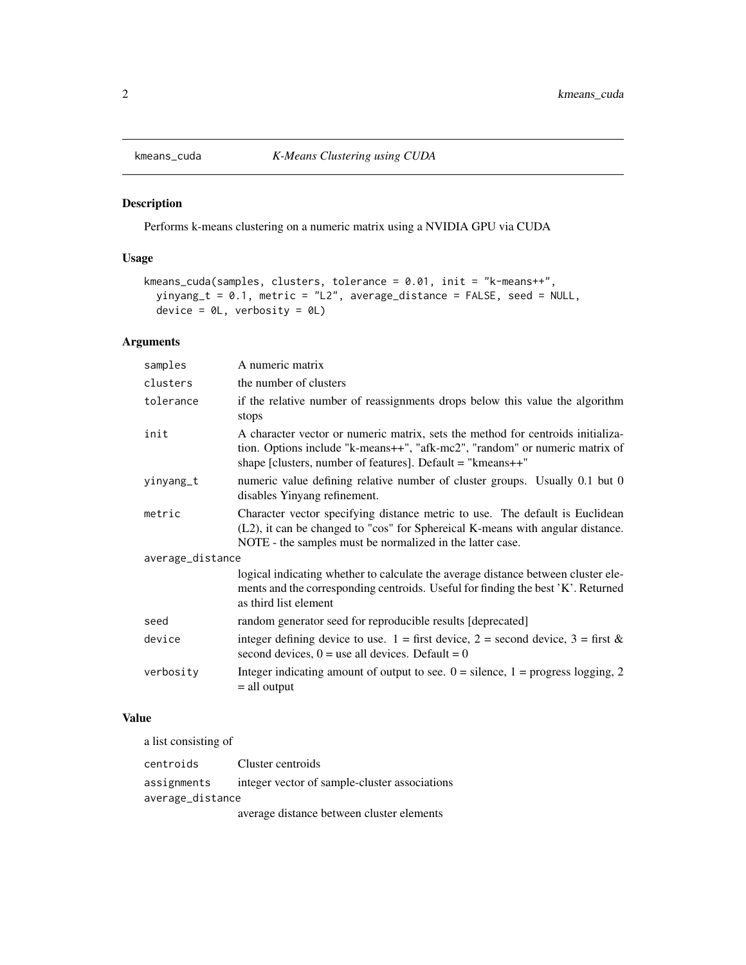<span id="page-1-0"></span>

#### Description

Performs k-means clustering on a numeric matrix using a NVIDIA GPU via CUDA

#### Usage

```
kmeans_cuda(samples, clusters, tolerance = 0.01, init = "k-means++",
yinyang_t = 0.1, metric = "L2", average_distance = FALSE, seed = NULL,
device = \thetaL, verbosity = \thetaL)
```
#### Arguments

| samples          | A numeric matrix                                                                                                                                                                                                                   |  |  |  |
|------------------|------------------------------------------------------------------------------------------------------------------------------------------------------------------------------------------------------------------------------------|--|--|--|
| clusters         | the number of clusters                                                                                                                                                                                                             |  |  |  |
| tolerance        | if the relative number of reassignments drops below this value the algorithm<br>stops                                                                                                                                              |  |  |  |
| init             | A character vector or numeric matrix, sets the method for centroids initializa-<br>tion. Options include "k-means++", "afk-mc2", "random" or numeric matrix of<br>shape [clusters, number of features]. Default $=$ "kmeans $++$ " |  |  |  |
| yinyang_t        | numeric value defining relative number of cluster groups. Usually 0.1 but 0<br>disables Yinyang refinement.                                                                                                                        |  |  |  |
| metric           | Character vector specifying distance metric to use. The default is Euclidean<br>(L2), it can be changed to "cos" for Sphereical K-means with angular distance.<br>NOTE - the samples must be normalized in the latter case.        |  |  |  |
| average_distance |                                                                                                                                                                                                                                    |  |  |  |
|                  | logical indicating whether to calculate the average distance between cluster ele-<br>ments and the corresponding centroids. Useful for finding the best 'K'. Returned<br>as third list element                                     |  |  |  |
| seed             | random generator seed for reproducible results [deprecated]                                                                                                                                                                        |  |  |  |
| device           | integer defining device to use. $1 =$ first device, $2 =$ second device, $3 =$ first &<br>second devices, $0 =$ use all devices. Default = 0                                                                                       |  |  |  |
| verbosity        | Integer indicating amount of output to see. $0 =$ silence, $1 =$ progress logging, 2<br>$=$ all output                                                                                                                             |  |  |  |
|                  |                                                                                                                                                                                                                                    |  |  |  |

#### Value

a list consisting of

| centroids        | Cluster centroids                             |  |  |  |  |  |
|------------------|-----------------------------------------------|--|--|--|--|--|
| assignments      | integer vector of sample-cluster associations |  |  |  |  |  |
| average_distance |                                               |  |  |  |  |  |
|                  | average distance between cluster elements     |  |  |  |  |  |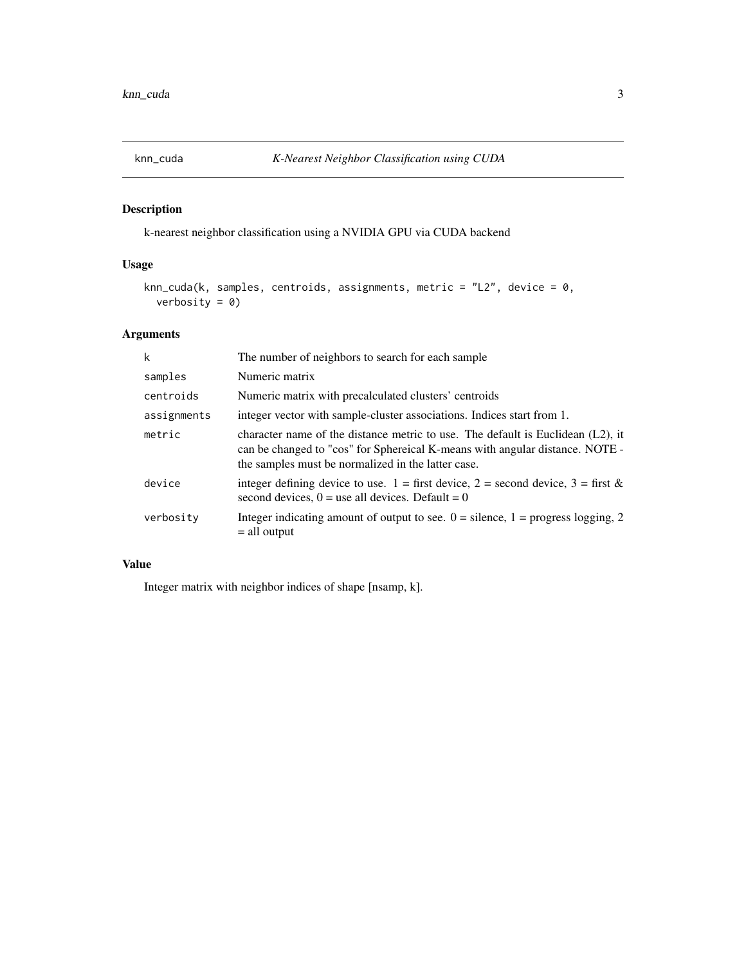<span id="page-2-0"></span>

#### Description

k-nearest neighbor classification using a NVIDIA GPU via CUDA backend

#### Usage

```
knn_cuda(k, samples, centroids, assignments, metric = "L2", device = 0,
 verbosity = 0)
```
#### Arguments

| The number of neighbors to search for each sample                                                                                                                                                                        |
|--------------------------------------------------------------------------------------------------------------------------------------------------------------------------------------------------------------------------|
| Numeric matrix                                                                                                                                                                                                           |
| Numeric matrix with precalculated clusters' centroids                                                                                                                                                                    |
| integer vector with sample-cluster associations. Indices start from 1.                                                                                                                                                   |
| character name of the distance metric to use. The default is Euclidean $(L2)$ , it<br>can be changed to "cos" for Sphereical K-means with angular distance. NOTE -<br>the samples must be normalized in the latter case. |
| integer defining device to use. $1 =$ first device, $2 =$ second device, $3 =$ first &<br>second devices, $0 =$ use all devices. Default = 0                                                                             |
| Integer indicating amount of output to see. $0 =$ silence, $1 =$ progress logging, 2<br>$=$ all output                                                                                                                   |
|                                                                                                                                                                                                                          |

#### Value

Integer matrix with neighbor indices of shape [nsamp, k].